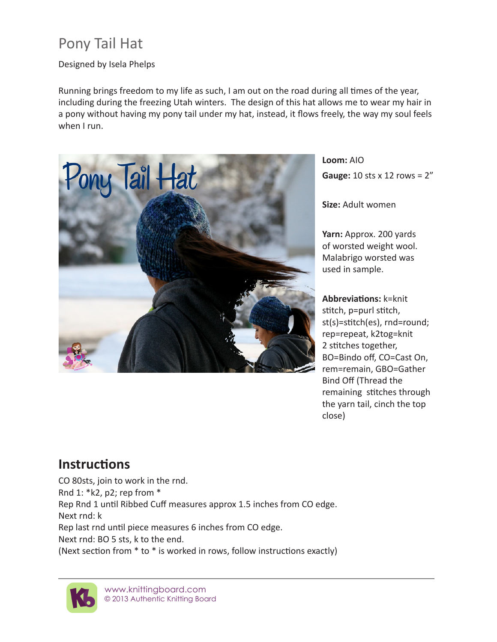## Pony Tail Hat

## Designed by Isela Phelps

Running brings freedom to my life as such, I am out on the road during all times of the year, including during the freezing Utah winters. The design of this hat allows me to wear my hair in a pony without having my pony tail under my hat, instead, it flows freely, the way my soul feels when I run.



**Loom:** AIO **Gauge:** 10 sts x 12 rows = 2"

**Size:** Adult women

**Yarn:** Approx. 200 yards of worsted weight wool. Malabrigo worsted was used in sample.

**Abbreviations:** k=knit stitch, p=purl stitch, st(s)=stitch(es), rnd=round; rep=repeat, k2tog=knit 2 stitches together, BO=Bindo off, CO=Cast On, rem=remain, GBO=Gather Bind Off (Thread the remaining stitches through the yarn tail, cinch the top close)

## **Instructions**

CO 80sts, join to work in the rnd. Rnd 1: \*k2, p2; rep from \* Rep Rnd 1 until Ribbed Cuff measures approx 1.5 inches from CO edge. Next rnd: k Rep last rnd until piece measures 6 inches from CO edge. Next rnd: BO 5 sts, k to the end. (Next section from \* to \* is worked in rows, follow instructions exactly)



www.knittingboard.com © 2013 Authentic Knitting Board